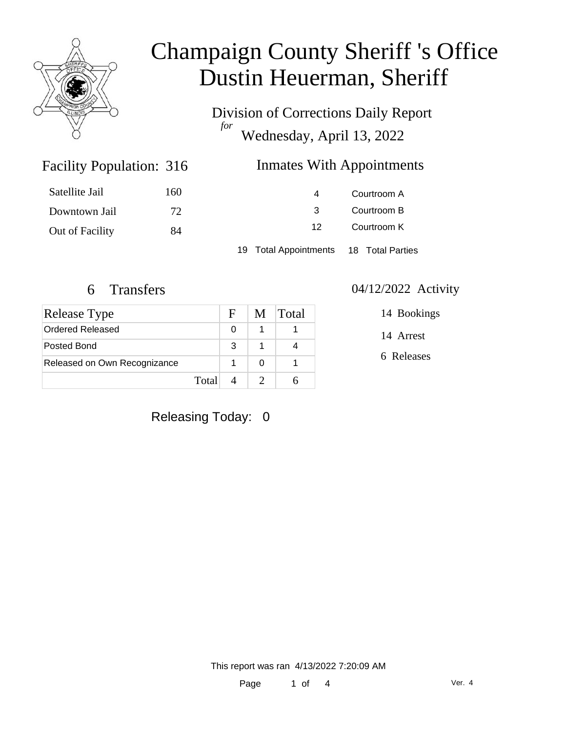

Division of Corrections Daily Report *for* Wednesday, April 13, 2022

### Inmates With Appointments

| Satellite Jail  | 160 | 4                                      | Courtroom A |  |
|-----------------|-----|----------------------------------------|-------------|--|
| Downtown Jail   | 72  | Courtroom B                            |             |  |
| Out of Facility | 84  | 12                                     | Courtroom K |  |
|                 |     | 19 Total Appointments 18 Total Parties |             |  |

Facility Population: 316

| Release Type                 |       | F. | M | <b>Total</b> |
|------------------------------|-------|----|---|--------------|
| Ordered Released             |       |    |   |              |
| Posted Bond                  |       | 3  |   |              |
| Released on Own Recognizance |       |    |   |              |
|                              | Total |    |   |              |

#### 6 Transfers 04/12/2022 Activity

14 Arrest 14 Bookings

6 Releases

### Releasing Today: 0

This report was ran 4/13/2022 7:20:09 AM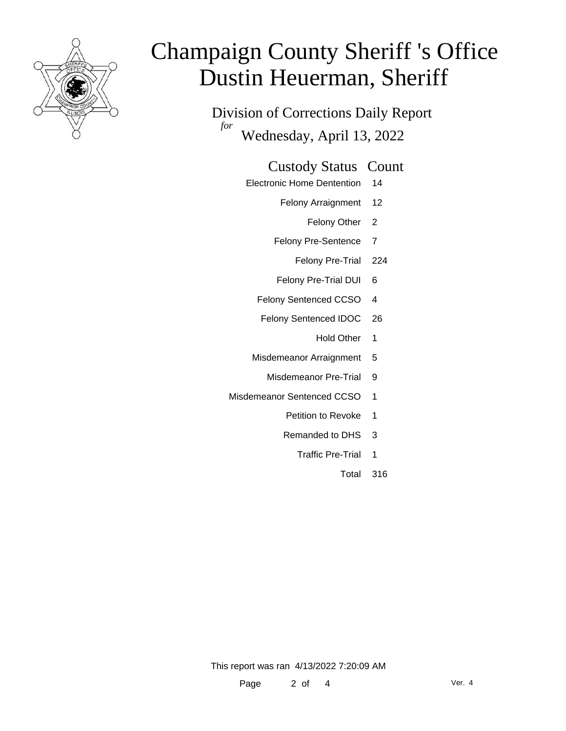

Division of Corrections Daily Report *for* Wednesday, April 13, 2022

#### Custody Status Count

- Electronic Home Dentention 14
	- Felony Arraignment 12
		- Felony Other 2
	- Felony Pre-Sentence 7
		- Felony Pre-Trial 224
	- Felony Pre-Trial DUI 6
	- Felony Sentenced CCSO 4
	- Felony Sentenced IDOC 26
		- Hold Other 1
	- Misdemeanor Arraignment 5
		- Misdemeanor Pre-Trial 9
- Misdemeanor Sentenced CCSO 1
	- Petition to Revoke 1
	- Remanded to DHS 3
		- Traffic Pre-Trial 1
			- Total 316

This report was ran 4/13/2022 7:20:09 AM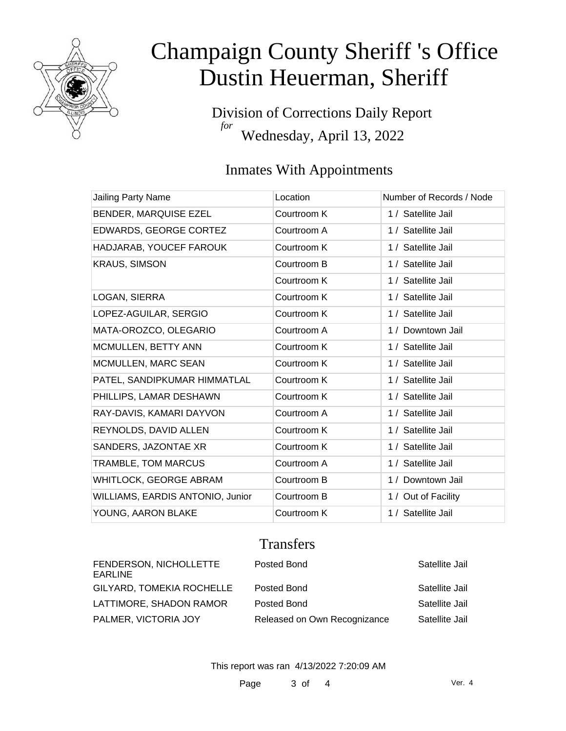

Division of Corrections Daily Report *for* Wednesday, April 13, 2022

### Inmates With Appointments

| Jailing Party Name               | Location    | Number of Records / Node |
|----------------------------------|-------------|--------------------------|
| BENDER, MARQUISE EZEL            | Courtroom K | 1 / Satellite Jail       |
| EDWARDS, GEORGE CORTEZ           | Courtroom A | 1 / Satellite Jail       |
| HADJARAB, YOUCEF FAROUK          | Courtroom K | 1 / Satellite Jail       |
| <b>KRAUS, SIMSON</b>             | Courtroom B | 1 / Satellite Jail       |
|                                  | Courtroom K | 1 / Satellite Jail       |
| LOGAN, SIERRA                    | Courtroom K | 1 / Satellite Jail       |
| LOPEZ-AGUILAR, SERGIO            | Courtroom K | 1 / Satellite Jail       |
| MATA-OROZCO, OLEGARIO            | Courtroom A | 1 / Downtown Jail        |
| MCMULLEN, BETTY ANN              | Courtroom K | 1 / Satellite Jail       |
| <b>MCMULLEN, MARC SEAN</b>       | Courtroom K | 1 / Satellite Jail       |
| PATEL, SANDIPKUMAR HIMMATLAL     | Courtroom K | 1 / Satellite Jail       |
| PHILLIPS, LAMAR DESHAWN          | Courtroom K | 1 / Satellite Jail       |
| RAY-DAVIS, KAMARI DAYVON         | Courtroom A | 1 / Satellite Jail       |
| REYNOLDS, DAVID ALLEN            | Courtroom K | 1 / Satellite Jail       |
| SANDERS, JAZONTAE XR             | Courtroom K | 1 / Satellite Jail       |
| <b>TRAMBLE, TOM MARCUS</b>       | Courtroom A | 1 / Satellite Jail       |
| WHITLOCK, GEORGE ABRAM           | Courtroom B | 1 / Downtown Jail        |
| WILLIAMS, EARDIS ANTONIO, Junior | Courtroom B | 1 / Out of Facility      |
| YOUNG, AARON BLAKE               | Courtroom K | 1 / Satellite Jail       |

### **Transfers**

| FENDERSON, NICHOLLETTE<br>EARLINE | Posted Bond                  | Satellite Jail |
|-----------------------------------|------------------------------|----------------|
| GILYARD, TOMEKIA ROCHELLE         | Posted Bond                  | Satellite Jail |
| LATTIMORE, SHADON RAMOR           | Posted Bond                  | Satellite Jail |
| PALMER, VICTORIA JOY              | Released on Own Recognizance | Satellite Jail |

This report was ran 4/13/2022 7:20:09 AM